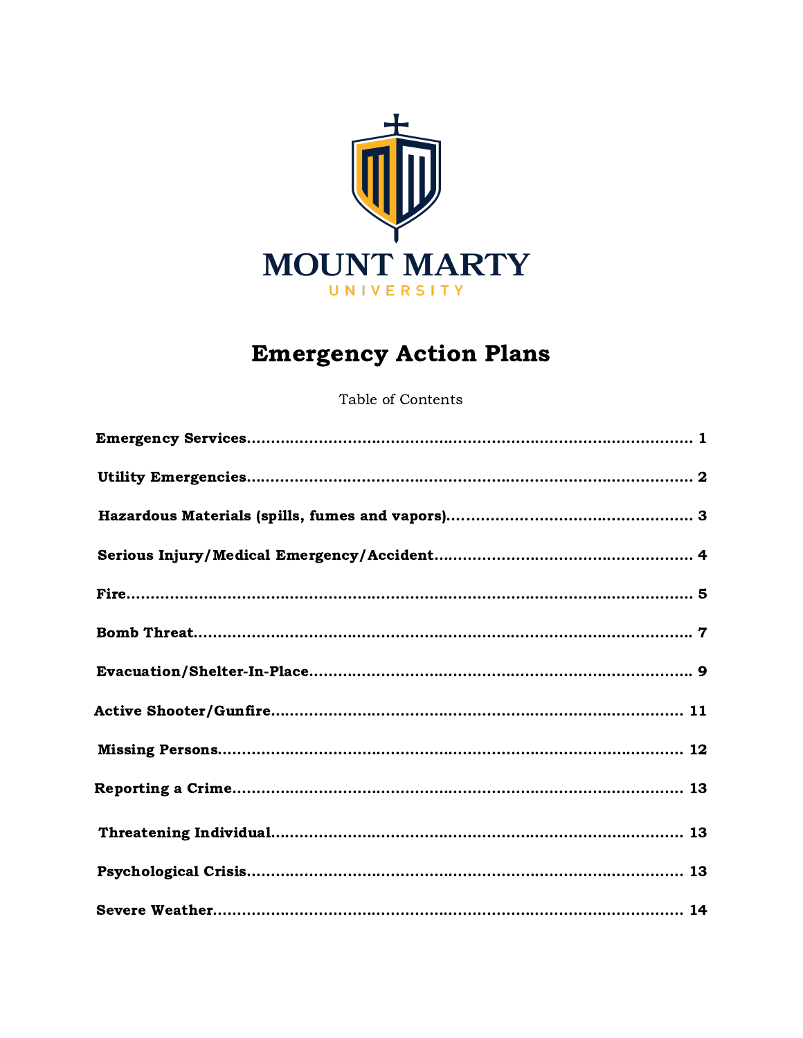

# Emergency Action Plans

Table of Contents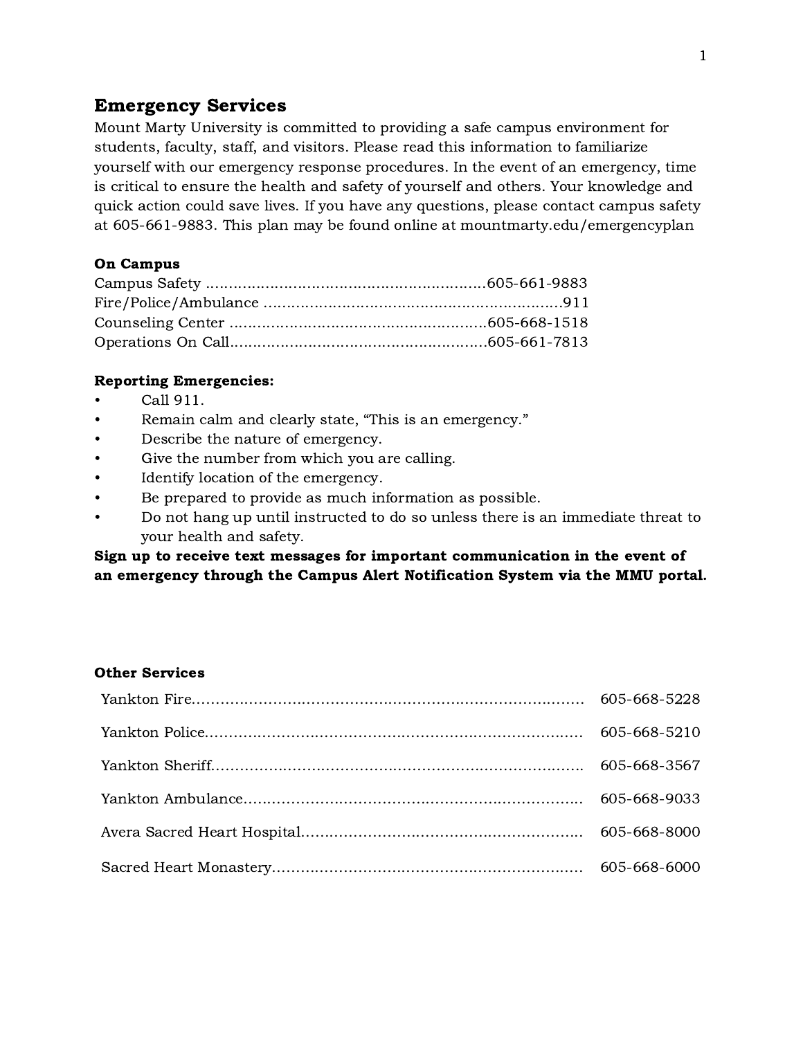# <span id="page-1-0"></span>Emergency Services

Mount Marty University is committed to providing a safe campus environment for students, faculty, staff, and visitors. Please read this information to familiarize yourself with our emergency response procedures. In the event of an emergency, time is critical to ensure the health and safety of yourself and others. Your knowledge and quick action could save lives. If you have any questions, please contact campus safety at 605-661-9883. This plan may be found online at mountmarty.edu/emergencyplan

#### On Campus

#### Reporting Emergencies:

- Call 911.
- Remain calm and clearly state, "This is an emergency."
- Describe the nature of emergency.
- Give the number from which you are calling.
- Identify location of the emergency.
- Be prepared to provide as much information as possible.
- Do not hang up until instructed to do so unless there is an immediate threat to your health and safety.

### Sign up to receive text messages for important communication in the event of an emergency through the Campus Alert Notification System via the MMU portal.

#### Other Services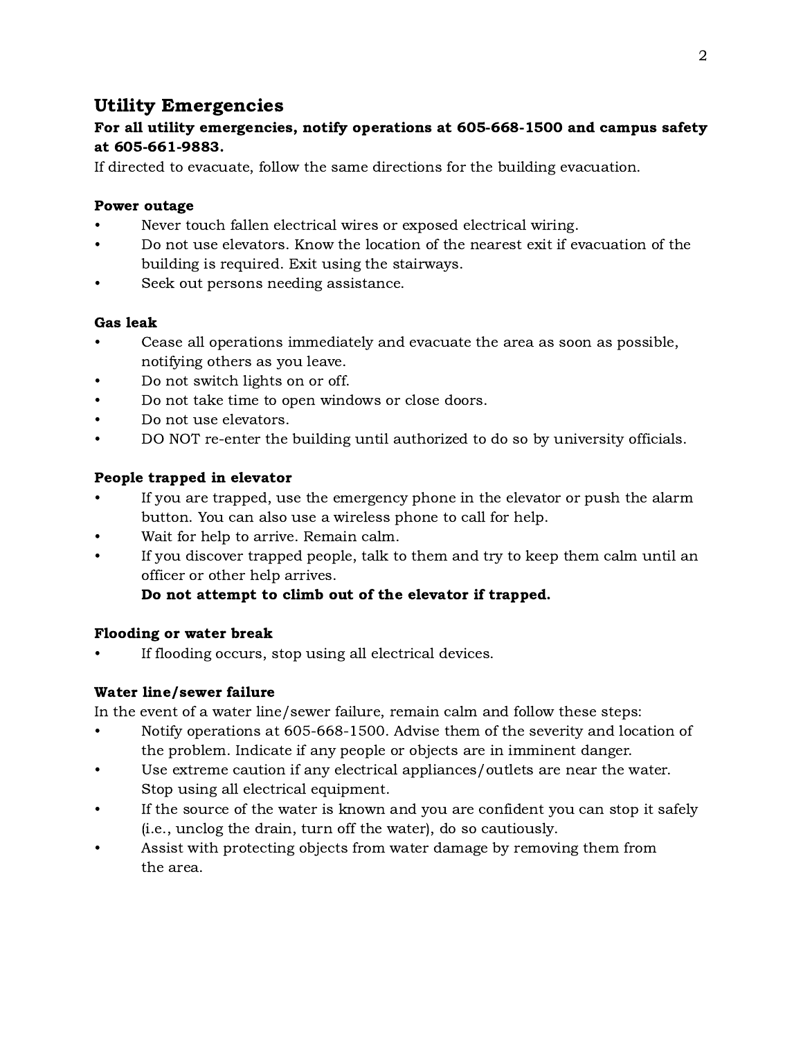# <span id="page-2-0"></span>Utility Emergencies

# For all utility emergencies, notify operations at 605-668-1500 and campus safety at 605-661-9883.

If directed to evacuate, follow the same directions for the building evacuation.

## Power outage

- Never touch fallen electrical wires or exposed electrical wiring.
- Do not use elevators. Know the location of the nearest exit if evacuation of the building is required. Exit using the stairways.
- Seek out persons needing assistance.

### Gas leak

- Cease all operations immediately and evacuate the area as soon as possible, notifying others as you leave.
- Do not switch lights on or off.
- Do not take time to open windows or close doors.
- Do not use elevators.
- DO NOT re-enter the building until authorized to do so by university officials.

# People trapped in elevator

- If you are trapped, use the emergency phone in the elevator or push the alarm button. You can also use a wireless phone to call for help.
- Wait for help to arrive. Remain calm.
- If you discover trapped people, talk to them and try to keep them calm until an officer or other help arrives.

# Do not attempt to climb out of the elevator if trapped.

# Flooding or water break

If flooding occurs, stop using all electrical devices.

# Water line/sewer failure

In the event of a water line/sewer failure, remain calm and follow these steps:

- Notify operations at 605-668-1500. Advise them of the severity and location of the problem. Indicate if any people or objects are in imminent danger.
- Use extreme caution if any electrical appliances/outlets are near the water. Stop using all electrical equipment.
- If the source of the water is known and you are confident you can stop it safely (i.e., unclog the drain, turn off the water), do so cautiously.
- Assist with protecting objects from water damage by removing them from the area.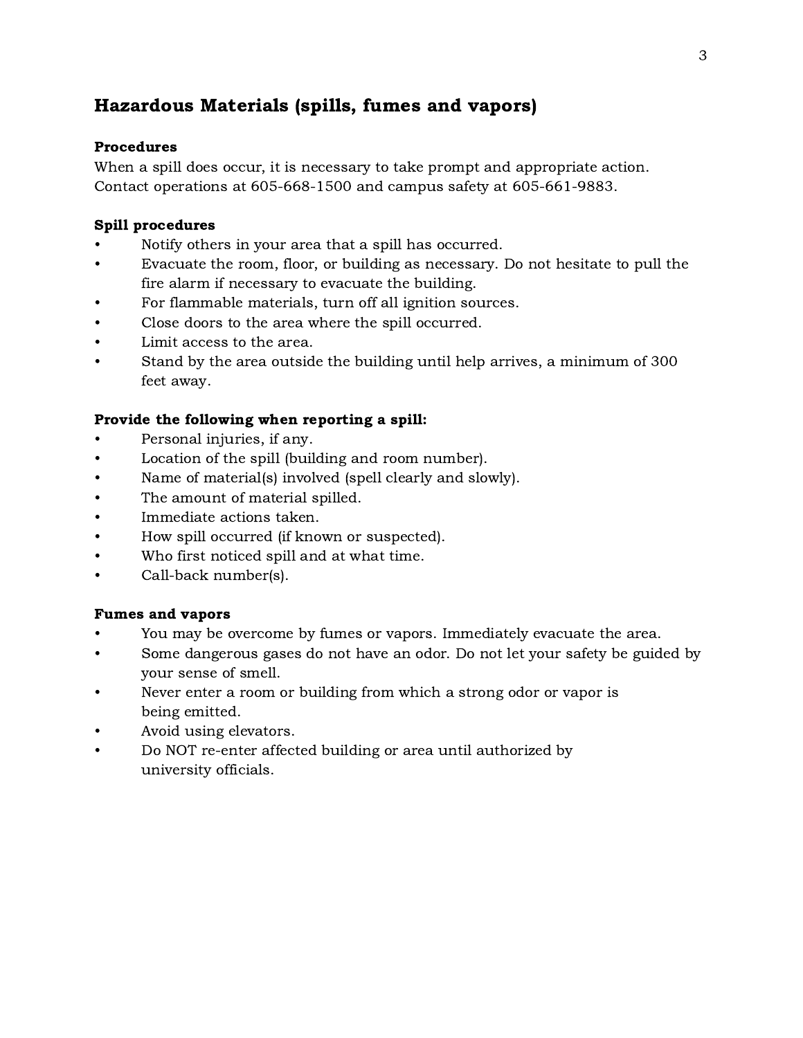# <span id="page-3-0"></span>Hazardous Materials (spills, fumes and vapors)

#### Procedures

When a spill does occur, it is necessary to take prompt and appropriate action. Contact operations at 605-668-1500 and campus safety at 605-661-9883.

#### Spill procedures

- Notify others in your area that a spill has occurred.
- Evacuate the room, floor, or building as necessary. Do not hesitate to pull the fire alarm if necessary to evacuate the building.
- For flammable materials, turn off all ignition sources.
- Close doors to the area where the spill occurred.
- Limit access to the area.
- Stand by the area outside the building until help arrives, a minimum of 300 feet away.

#### Provide the following when reporting a spill:

- Personal injuries, if any.
- Location of the spill (building and room number).
- Name of material(s) involved (spell clearly and slowly).
- The amount of material spilled.
- Immediate actions taken.
- How spill occurred (if known or suspected).
- Who first noticed spill and at what time.
- Call-back number(s).

#### Fumes and vapors

- You may be overcome by fumes or vapors. Immediately evacuate the area.
- Some dangerous gases do not have an odor. Do not let your safety be guided by your sense of smell.
- Never enter a room or building from which a strong odor or vapor is being emitted.
- Avoid using elevators.
- Do NOT re-enter affected building or area until authorized by university officials.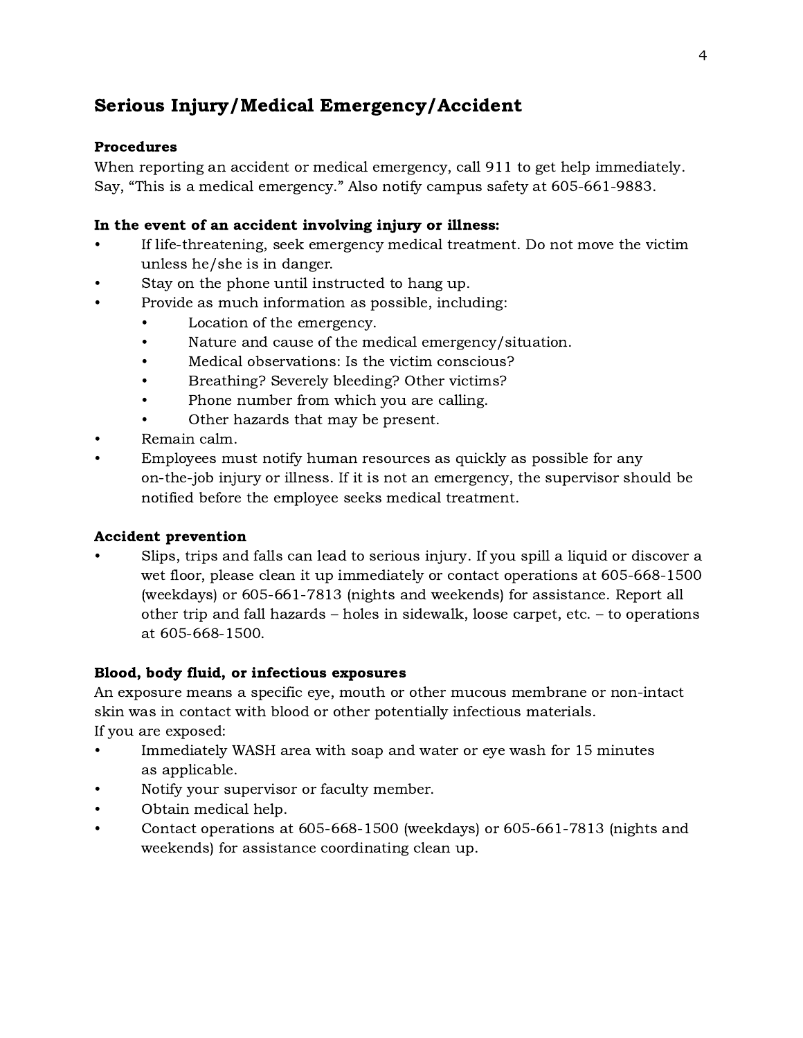# <span id="page-4-0"></span>Serious Injury/Medical Emergency/Accident

### Procedures

When reporting an accident or medical emergency, call 911 to get help immediately. Say, "This is a medical emergency." Also notify campus safety at 605-661-9883.

### In the event of an accident involving injury or illness:

- If life-threatening, seek emergency medical treatment. Do not move the victim unless he/she is in danger.
- Stay on the phone until instructed to hang up.
- Provide as much information as possible, including:
	- Location of the emergency.
	- Nature and cause of the medical emergency/situation.
	- Medical observations: Is the victim conscious?
	- Breathing? Severely bleeding? Other victims?
	- Phone number from which you are calling.
	- Other hazards that may be present.
- Remain calm.
- Employees must notify human resources as quickly as possible for any on-the-job injury or illness. If it is not an emergency, the supervisor should be notified before the employee seeks medical treatment.

#### Accident prevention

• Slips, trips and falls can lead to serious injury. If you spill a liquid or discover a wet floor, please clean it up immediately or contact operations at 605-668-1500 (weekdays) or 605-661-7813 (nights and weekends) for assistance. Report all other trip and fall hazards – holes in sidewalk, loose carpet, etc. – to operations at 605-668-1500.

#### Blood, body fluid, or infectious exposures

An exposure means a specific eye, mouth or other mucous membrane or non-intact skin was in contact with blood or other potentially infectious materials. If you are exposed:

• Immediately WASH area with soap and water or eye wash for 15 minutes as applicable.

- Notify your supervisor or faculty member.
- Obtain medical help.
- Contact operations at 605-668-1500 (weekdays) or 605-661-7813 (nights and weekends) for assistance coordinating clean up.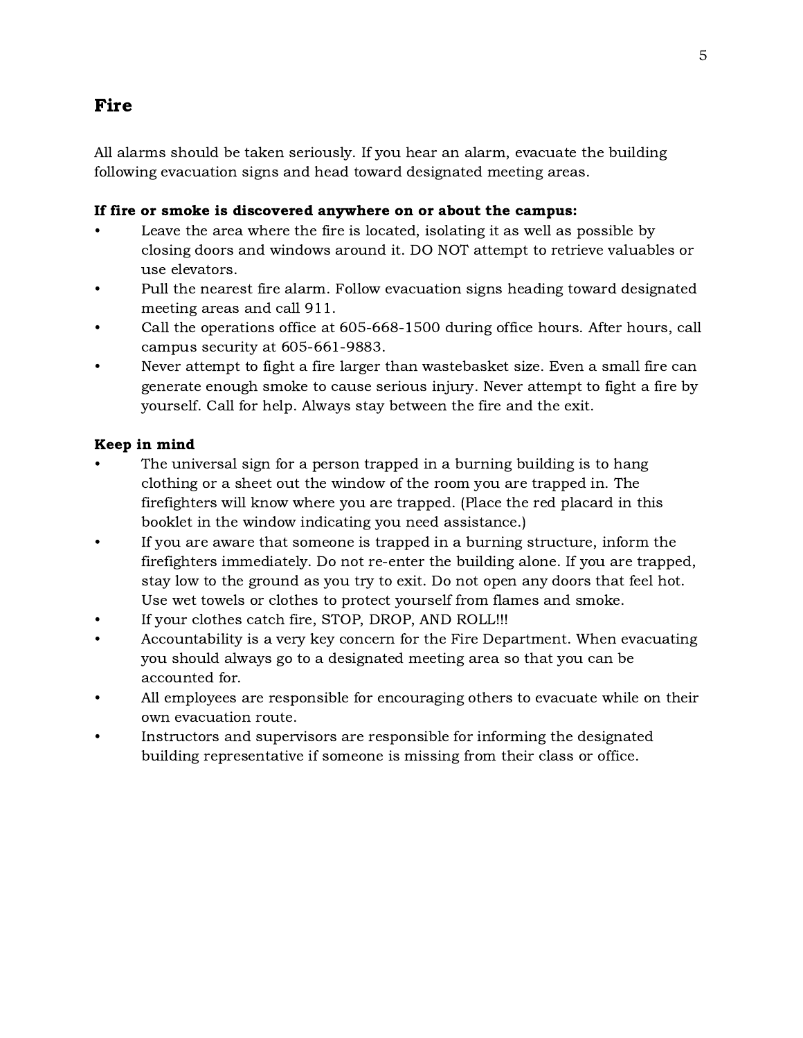# <span id="page-5-0"></span>Fire

All alarms should be taken seriously. If you hear an alarm, evacuate the building following evacuation signs and head toward designated meeting areas.

#### If fire or smoke is discovered anywhere on or about the campus:

- Leave the area where the fire is located, isolating it as well as possible by closing doors and windows around it. DO NOT attempt to retrieve valuables or use elevators.
- Pull the nearest fire alarm. Follow evacuation signs heading toward designated meeting areas and call 911.
- Call the operations office at 605-668-1500 during office hours. After hours, call campus security at 605-661-9883.
- Never attempt to fight a fire larger than wastebasket size. Even a small fire can generate enough smoke to cause serious injury. Never attempt to fight a fire by yourself. Call for help. Always stay between the fire and the exit.

### Keep in mind

- The universal sign for a person trapped in a burning building is to hang clothing or a sheet out the window of the room you are trapped in. The firefighters will know where you are trapped. (Place the red placard in this booklet in the window indicating you need assistance.)
- If you are aware that someone is trapped in a burning structure, inform the firefighters immediately. Do not re-enter the building alone. If you are trapped, stay low to the ground as you try to exit. Do not open any doors that feel hot. Use wet towels or clothes to protect yourself from flames and smoke.
- If your clothes catch fire, STOP, DROP, AND ROLL !!!
- Accountability is a very key concern for the Fire Department. When evacuating you should always go to a designated meeting area so that you can be accounted for.
- All employees are responsible for encouraging others to evacuate while on their own evacuation route.
- Instructors and supervisors are responsible for informing the designated building representative if someone is missing from their class or office.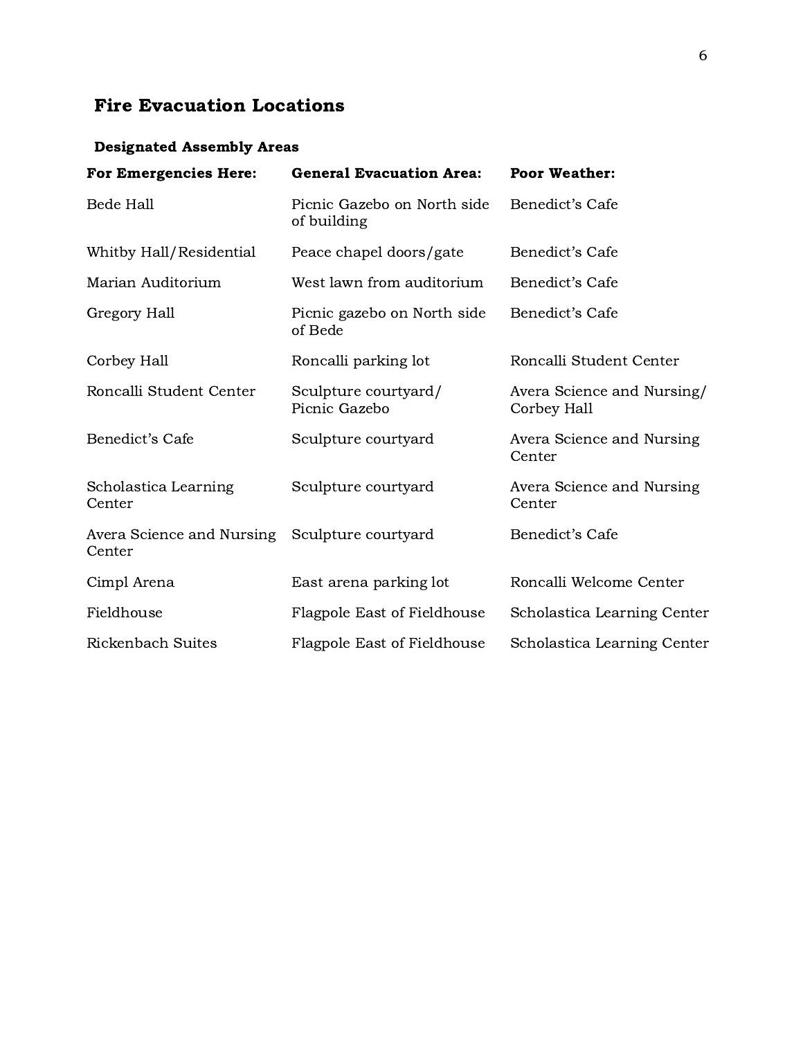# Fire Evacuation Locations

# Designated Assembly Areas

| <b>For Emergencies Here:</b>        | <b>General Evacuation Area:</b>            | <b>Poor Weather:</b>                      |
|-------------------------------------|--------------------------------------------|-------------------------------------------|
| <b>Bede Hall</b>                    | Picnic Gazebo on North side<br>of building | Benedict's Cafe                           |
| Whitby Hall/Residential             | Peace chapel doors/gate                    | Benedict's Cafe                           |
| Marian Auditorium                   | West lawn from auditorium                  | Benedict's Cafe                           |
| Gregory Hall                        | Picnic gazebo on North side<br>of Bede     | Benedict's Cafe                           |
| Corbey Hall                         | Roncalli parking lot                       | Roncalli Student Center                   |
| Roncalli Student Center             | Sculpture courtyard/<br>Picnic Gazebo      | Avera Science and Nursing/<br>Corbey Hall |
| Benedict's Cafe                     | Sculpture courtyard                        | Avera Science and Nursing<br>Center       |
| Scholastica Learning<br>Center      | Sculpture courtyard                        | Avera Science and Nursing<br>Center       |
| Avera Science and Nursing<br>Center | Sculpture courtyard                        | Benedict's Cafe                           |
| Cimpl Arena                         | East arena parking lot                     | Roncalli Welcome Center                   |
| Fieldhouse                          | Flagpole East of Fieldhouse                | Scholastica Learning Center               |
| <b>Rickenbach Suites</b>            | Flagpole East of Fieldhouse                | Scholastica Learning Center               |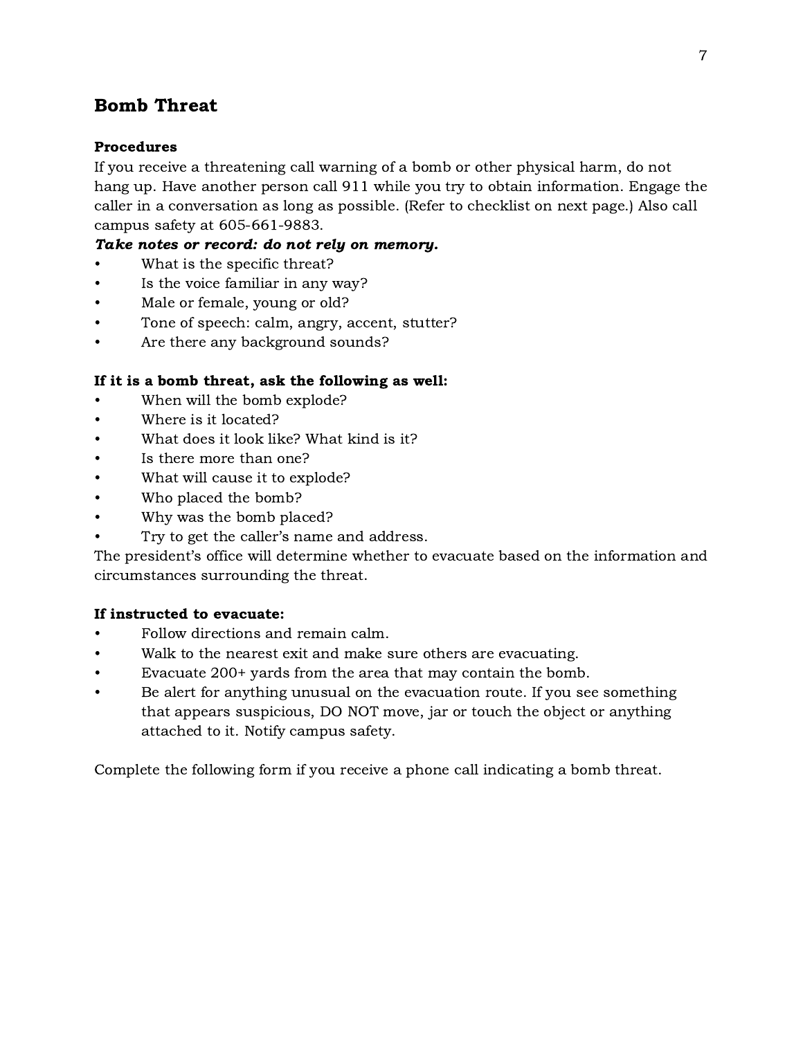# <span id="page-7-0"></span>Bomb Threat

#### Procedures

If you receive a threatening call warning of a bomb or other physical harm, do not hang up. Have another person call 911 while you try to obtain information. Engage the caller in a conversation as long as possible. (Refer to checklist on next page.) Also call campus safety at 605-661-9883.

### Take notes or record: do not rely on memory.

- What is the specific threat?
- Is the voice familiar in any way?
- Male or female, young or old?
- Tone of speech: calm, angry, accent, stutter?
- Are there any background sounds?

#### If it is a bomb threat, ask the following as well:

- When will the bomb explode?
- Where is it located?
- What does it look like? What kind is it?
- Is there more than one?
- What will cause it to explode?
- Who placed the bomb?
- Why was the bomb placed?
- Try to get the caller's name and address.

The president's office will determine whether to evacuate based on the information and circumstances surrounding the threat.

#### If instructed to evacuate:

- Follow directions and remain calm.
- Walk to the nearest exit and make sure others are evacuating.
- Evacuate 200+ yards from the area that may contain the bomb.
- Be alert for anything unusual on the evacuation route. If you see something that appears suspicious, DO NOT move, jar or touch the object or anything attached to it. Notify campus safety.

Complete the following form if you receive a phone call indicating a bomb threat.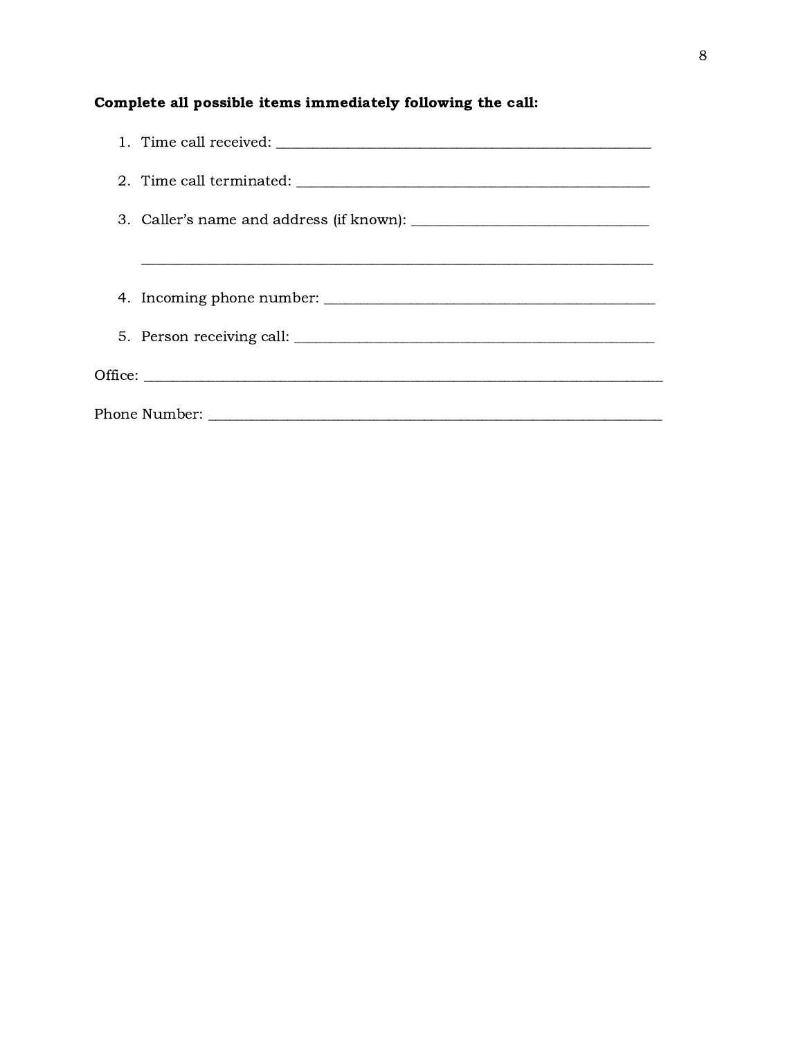# Complete all possible items immediately following the call:

| 4. Incoming phone number: |
|---------------------------|
|                           |
|                           |
|                           |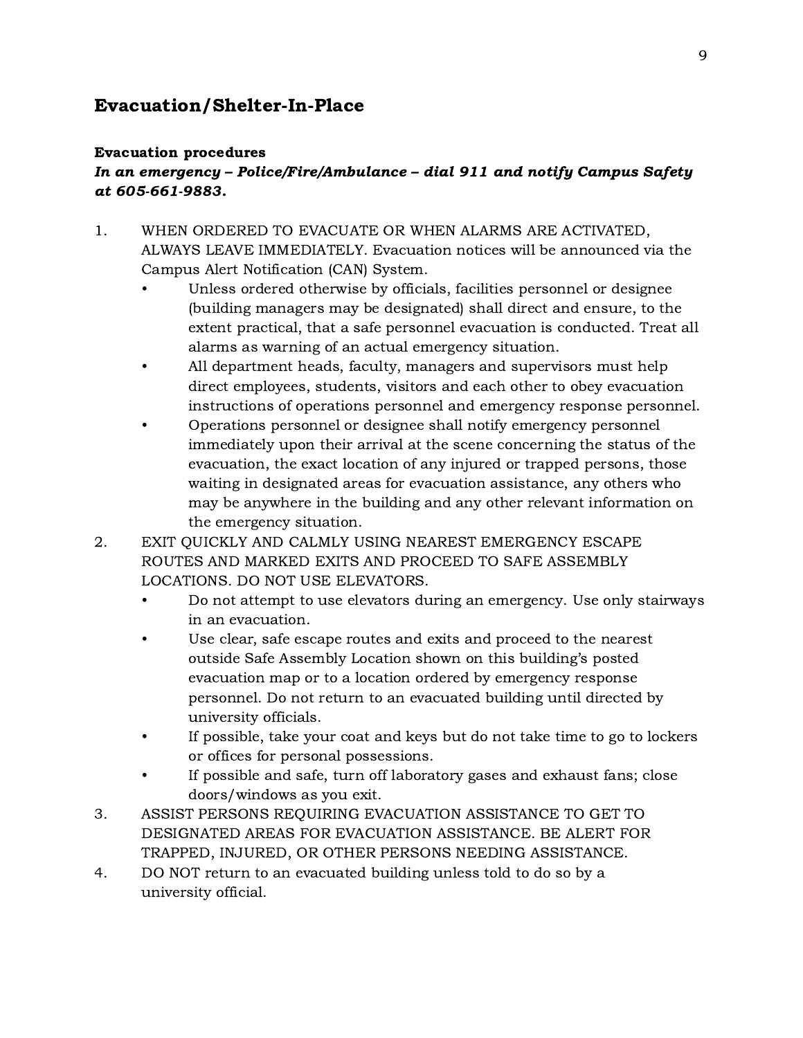# <span id="page-9-0"></span>Evacuation/Shelter-In-Place

#### Evacuation procedures

# In an emergency – Police/Fire/Ambulance – dial 911 and notify Campus Safety at 605-661-9883.

- 1. WHEN ORDERED TO EVACUATE OR WHEN ALARMS ARE ACTIVATED, ALWAYS LEAVE IMMEDIATELY. Evacuation notices will be announced via the Campus Alert Notification (CAN) System.
	- Unless ordered otherwise by officials, facilities personnel or designee (building managers may be designated) shall direct and ensure, to the extent practical, that a safe personnel evacuation is conducted. Treat all alarms as warning of an actual emergency situation.
	- All department heads, faculty, managers and supervisors must help direct employees, students, visitors and each other to obey evacuation instructions of operations personnel and emergency response personnel.
	- Operations personnel or designee shall notify emergency personnel immediately upon their arrival at the scene concerning the status of the evacuation, the exact location of any injured or trapped persons, those waiting in designated areas for evacuation assistance, any others who may be anywhere in the building and any other relevant information on the emergency situation.
- 2. EXIT QUICKLY AND CALMLY USING NEAREST EMERGENCY ESCAPE ROUTES AND MARKED EXITS AND PROCEED TO SAFE ASSEMBLY LOCATIONS. DO NOT USE ELEVATORS.
	- Do not attempt to use elevators during an emergency. Use only stairways in an evacuation.
	- Use clear, safe escape routes and exits and proceed to the nearest outside Safe Assembly Location shown on this building's posted evacuation map or to a location ordered by emergency response personnel. Do not return to an evacuated building until directed by university officials.
	- If possible, take your coat and keys but do not take time to go to lockers or offices for personal possessions.
	- If possible and safe, turn off laboratory gases and exhaust fans; close doors/windows as you exit.
- 3. ASSIST PERSONS REQUIRING EVACUATION ASSISTANCE TO GET TO DESIGNATED AREAS FOR EVACUATION ASSISTANCE. BE ALERT FOR TRAPPED, INJURED, OR OTHER PERSONS NEEDING ASSISTANCE.
- 4. DO NOT return to an evacuated building unless told to do so by a university official.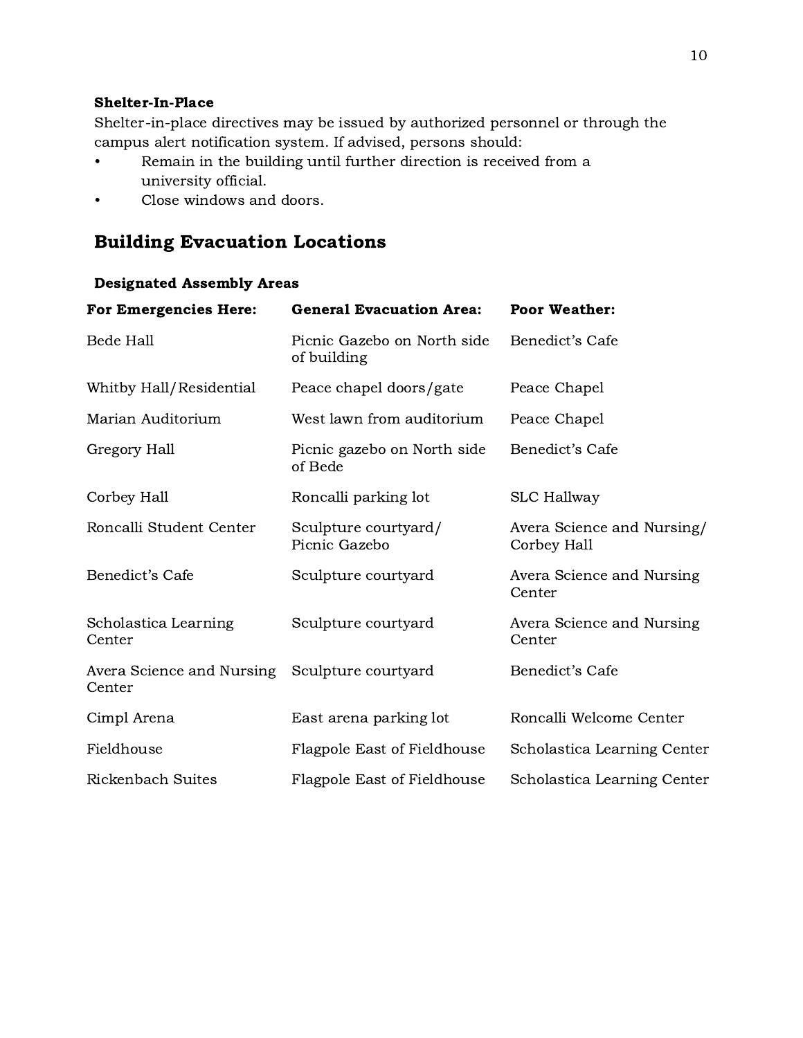#### Shelter-In-Place

Shelter-in-place directives may be issued by authorized personnel or through the campus alert notification system. If advised, persons should:

- Remain in the building until further direction is received from a university official.
- Close windows and doors.

# Building Evacuation Locations

| <b>For Emergencies Here:</b>        | <b>General Evacuation Area:</b>            | <b>Poor Weather:</b>                      |
|-------------------------------------|--------------------------------------------|-------------------------------------------|
| <b>Bede Hall</b>                    | Picnic Gazebo on North side<br>of building | Benedict's Cafe                           |
| Whitby Hall/Residential             | Peace chapel doors/gate                    | Peace Chapel                              |
| Marian Auditorium                   | West lawn from auditorium                  | Peace Chapel                              |
| Gregory Hall                        | Picnic gazebo on North side<br>of Bede     | Benedict's Cafe                           |
| Corbey Hall                         | Roncalli parking lot                       | <b>SLC Hallway</b>                        |
| Roncalli Student Center             | Sculpture courtyard/<br>Picnic Gazebo      | Avera Science and Nursing/<br>Corbey Hall |
| Benedict's Cafe                     | Sculpture courtyard                        | Avera Science and Nursing<br>Center       |
| Scholastica Learning<br>Center      | Sculpture courtyard                        | Avera Science and Nursing<br>Center       |
| Avera Science and Nursing<br>Center | Sculpture courtyard                        | Benedict's Cafe                           |
| Cimpl Arena                         | East arena parking lot                     | Roncalli Welcome Center                   |
| Fieldhouse                          | Flagpole East of Fieldhouse                | Scholastica Learning Center               |
| Rickenbach Suites                   | Flagpole East of Fieldhouse                | Scholastica Learning Center               |

#### Designated Assembly Areas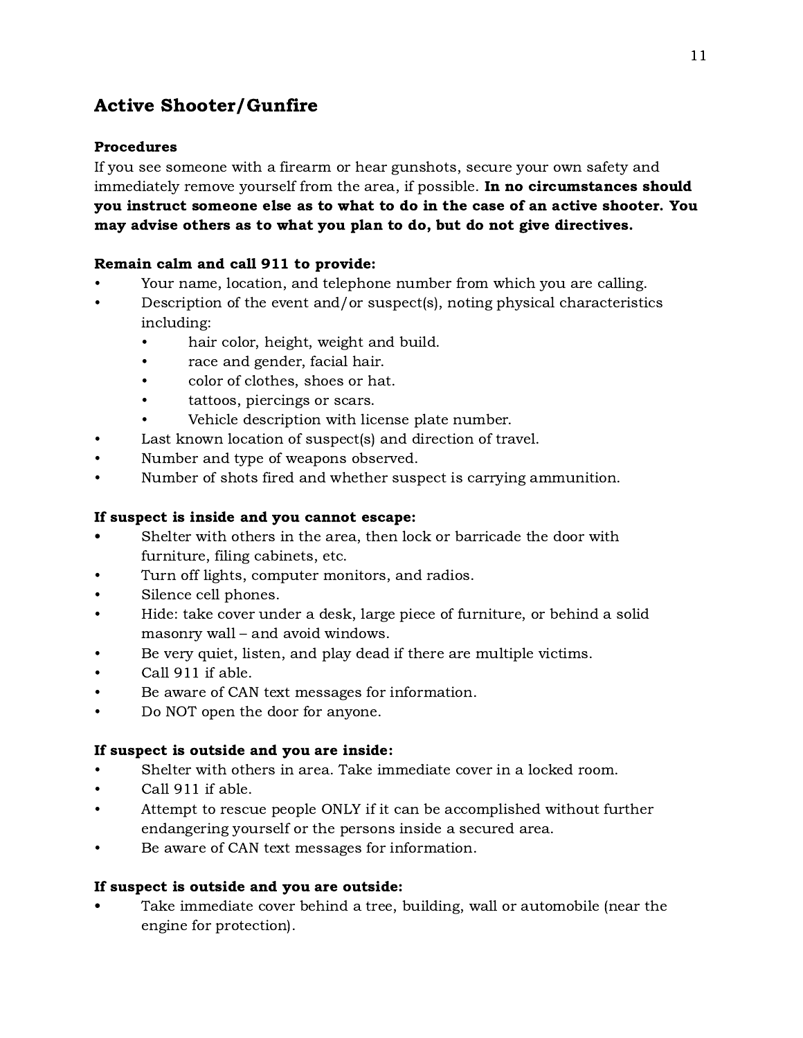# <span id="page-11-0"></span>Active Shooter/Gunfire

### Procedures

If you see someone with a firearm or hear gunshots, secure your own safety and immediately remove yourself from the area, if possible. In no circumstances should you instruct someone else as to what to do in the case of an active shooter. You may advise others as to what you plan to do, but do not give directives.

### Remain calm and call 911 to provide:

- Your name, location, and telephone number from which you are calling.
- Description of the event and/or suspect(s), noting physical characteristics including:
	- hair color, height, weight and build.
	- race and gender, facial hair.
	- color of clothes, shoes or hat.
	- tattoos, piercings or scars.
	- Vehicle description with license plate number.
- Last known location of suspect(s) and direction of travel.
- Number and type of weapons observed.
- Number of shots fired and whether suspect is carrying ammunition.

## If suspect is inside and you cannot escape:

- Shelter with others in the area, then lock or barricade the door with furniture, filing cabinets, etc.
- Turn off lights, computer monitors, and radios.
- Silence cell phones.
- Hide: take cover under a desk, large piece of furniture, or behind a solid masonry wall – and avoid windows.
- Be very quiet, listen, and play dead if there are multiple victims.
- Call 911 if able.
- Be aware of CAN text messages for information.
- Do NOT open the door for anyone.

### If suspect is outside and you are inside:

- Shelter with others in area. Take immediate cover in a locked room.
- Call 911 if able.
- Attempt to rescue people ONLY if it can be accomplished without further endangering yourself or the persons inside a secured area.
- Be aware of CAN text messages for information.

### If suspect is outside and you are outside:

• Take immediate cover behind a tree, building, wall or automobile (near the engine for protection).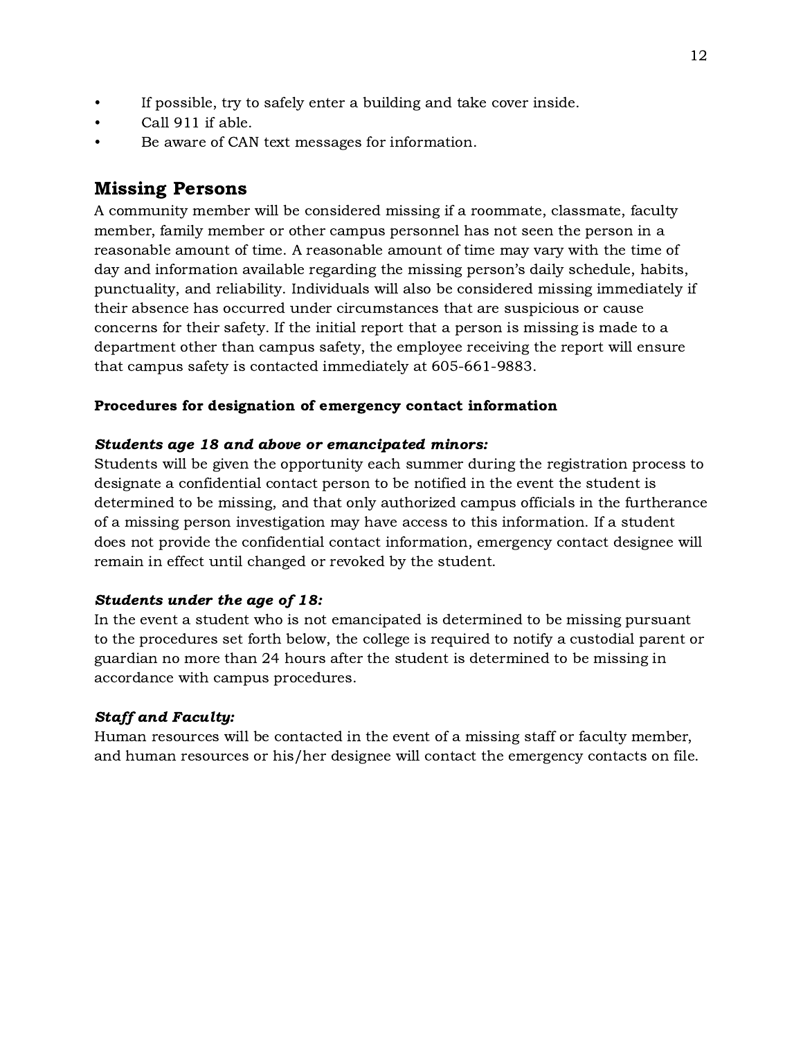- <span id="page-12-0"></span>If possible, try to safely enter a building and take cover inside.
- Call 911 if able.
- Be aware of CAN text messages for information.

# Missing Persons

A community member will be considered missing if a roommate, classmate, faculty member, family member or other campus personnel has not seen the person in a reasonable amount of time. A reasonable amount of time may vary with the time of day and information available regarding the missing person's daily schedule, habits, punctuality, and reliability. Individuals will also be considered missing immediately if their absence has occurred under circumstances that are suspicious or cause concerns for their safety. If the initial report that a person is missing is made to a department other than campus safety, the employee receiving the report will ensure that campus safety is contacted immediately at 605-661-9883.

#### Procedures for designation of emergency contact information

#### Students age 18 and above or emancipated minors:

Students will be given the opportunity each summer during the registration process to designate a confidential contact person to be notified in the event the student is determined to be missing, and that only authorized campus officials in the furtherance of a missing person investigation may have access to this information. If a student does not provide the confidential contact information, emergency contact designee will remain in effect until changed or revoked by the student.

#### Students under the age of 18:

In the event a student who is not emancipated is determined to be missing pursuant to the procedures set forth below, the college is required to notify a custodial parent or guardian no more than 24 hours after the student is determined to be missing in accordance with campus procedures.

### Staff and Faculty:

Human resources will be contacted in the event of a missing staff or faculty member, and human resources or his/her designee will contact the emergency contacts on file.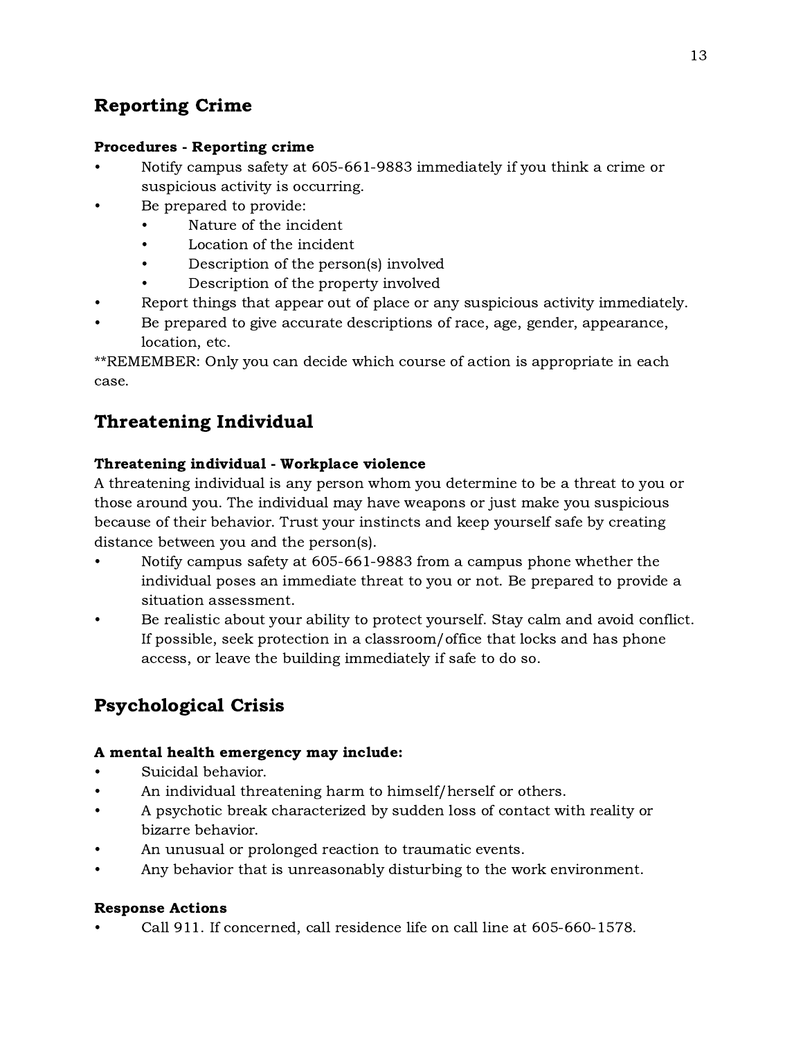# <span id="page-13-0"></span>Reporting Crime

### Procedures - Reporting crime

- Notify campus safety at 605-661-9883 immediately if you think a crime or suspicious activity is occurring.
- Be prepared to provide:
	- Nature of the incident
	- Location of the incident
	- Description of the person(s) involved
	- Description of the property involved
- Report things that appear out of place or any suspicious activity immediately.
- Be prepared to give accurate descriptions of race, age, gender, appearance, location, etc.

\*\*REMEMBER: Only you can decide which course of action is appropriate in each case.

# Threatening Individual

# Threatening individual - Workplace violence

A threatening individual is any person whom you determine to be a threat to you or those around you. The individual may have weapons or just make you suspicious because of their behavior. Trust your instincts and keep yourself safe by creating distance between you and the person(s).

- Notify campus safety at 605-661-9883 from a campus phone whether the individual poses an immediate threat to you or not. Be prepared to provide a situation assessment.
- Be realistic about your ability to protect yourself. Stay calm and avoid conflict. If possible, seek protection in a classroom/office that locks and has phone access, or leave the building immediately if safe to do so.

# Psychological Crisis

### A mental health emergency may include:

- Suicidal behavior.
- An individual threatening harm to himself/herself or others.
- A psychotic break characterized by sudden loss of contact with reality or bizarre behavior.
- An unusual or prolonged reaction to traumatic events.
- Any behavior that is unreasonably disturbing to the work environment.

### Response Actions

• Call 911. If concerned, call residence life on call line at 605-660-1578.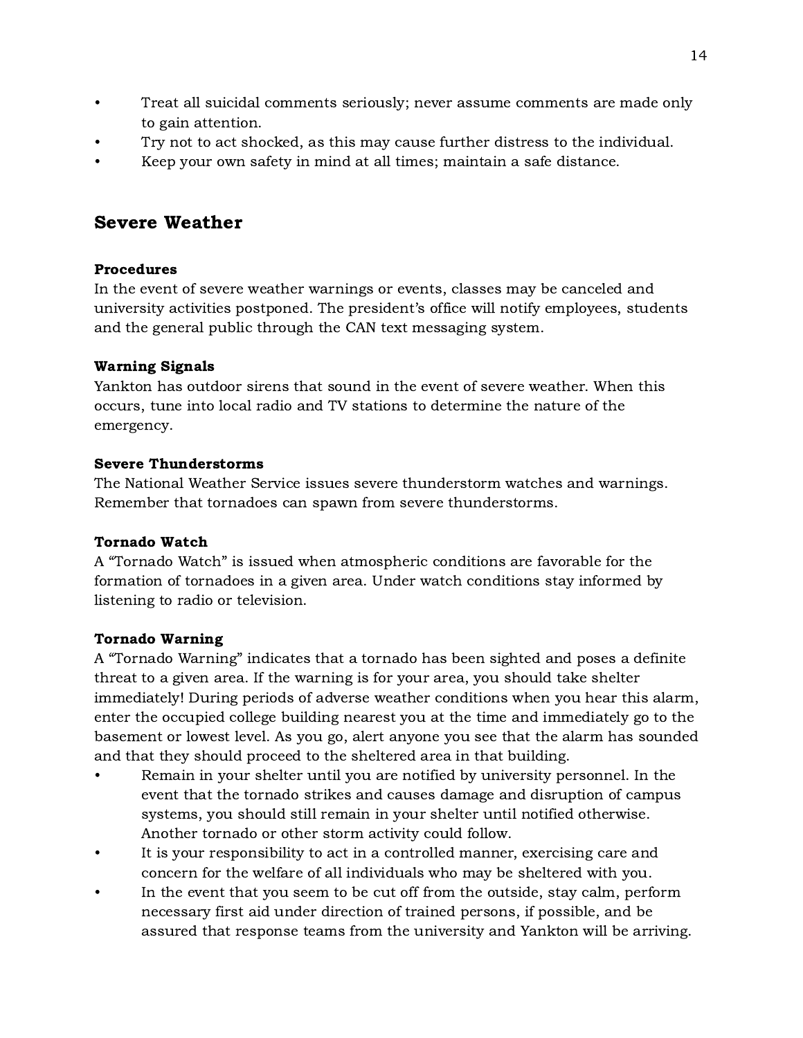- <span id="page-14-0"></span>• Treat all suicidal comments seriously; never assume comments are made only to gain attention.
- Try not to act shocked, as this may cause further distress to the individual.
- Keep your own safety in mind at all times; maintain a safe distance.

# Severe Weather

# Procedures

In the event of severe weather warnings or events, classes may be canceled and university activities postponed. The president's office will notify employees, students and the general public through the CAN text messaging system.

# Warning Signals

Yankton has outdoor sirens that sound in the event of severe weather. When this occurs, tune into local radio and TV stations to determine the nature of the emergency.

# Severe Thunderstorms

The National Weather Service issues severe thunderstorm watches and warnings. Remember that tornadoes can spawn from severe thunderstorms.

### Tornado Watch

A "Tornado Watch" is issued when atmospheric conditions are favorable for the formation of tornadoes in a given area. Under watch conditions stay informed by listening to radio or television.

# Tornado Warning

A "Tornado Warning" indicates that a tornado has been sighted and poses a definite threat to a given area. If the warning is for your area, you should take shelter immediately! During periods of adverse weather conditions when you hear this alarm, enter the occupied college building nearest you at the time and immediately go to the basement or lowest level. As you go, alert anyone you see that the alarm has sounded and that they should proceed to the sheltered area in that building.

- Remain in your shelter until you are notified by university personnel. In the event that the tornado strikes and causes damage and disruption of campus systems, you should still remain in your shelter until notified otherwise. Another tornado or other storm activity could follow.
- It is your responsibility to act in a controlled manner, exercising care and concern for the welfare of all individuals who may be sheltered with you.
- In the event that you seem to be cut off from the outside, stay calm, perform necessary first aid under direction of trained persons, if possible, and be assured that response teams from the university and Yankton will be arriving.